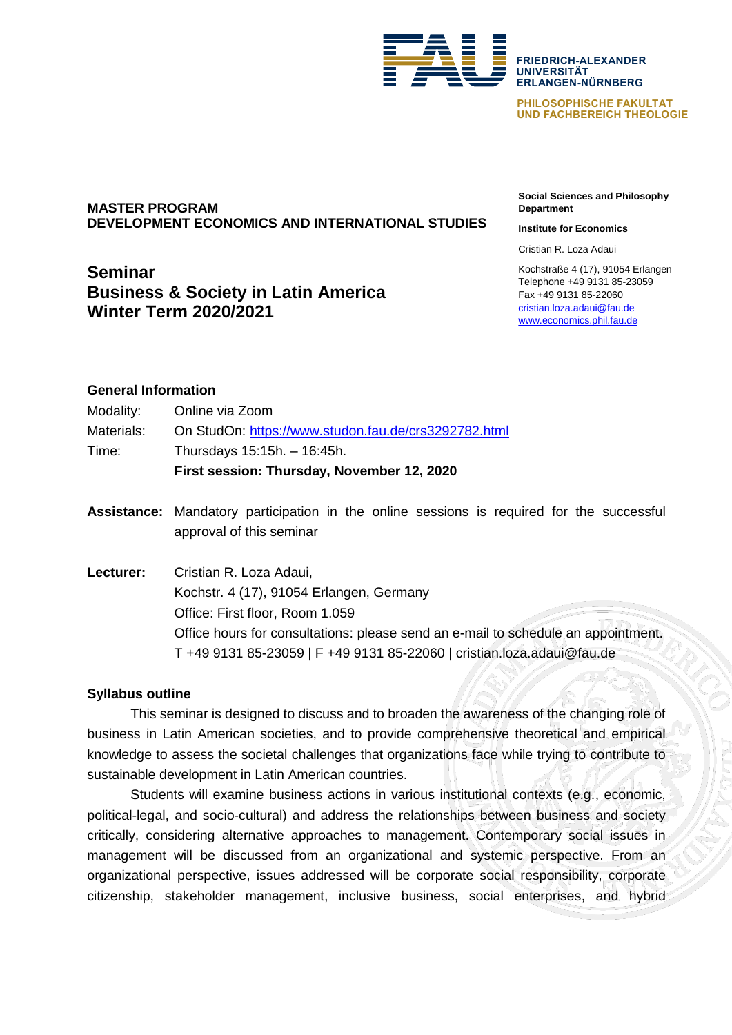

**PHILOSOPHISCHE FAKULTÄT UND FACHBEREICH THEOLOGIE**

# **MASTER PROGRAM DEVELOPMENT ECONOMICS AND INTERNATIONAL STUDIES**

# **Seminar Business & Society in Latin America Winter Term 2020/2021**

**Social Sciences and Philosophy Department**

#### **Institute for Economics**

Cristian R. Loza Adaui

Kochstraße 4 (17), 91054 Erlangen Telephone +49 9131 85-23059 Fax +49 9131 85-22060 [cristian.loza.adaui@fau.de](mailto:cristian.loza.adaui@fau.de) [www.economics.phil.fau.de](http://www.economics.phil.fau.de/)

# **General Information**

| Modality:  | Online via Zoom                                      |
|------------|------------------------------------------------------|
| Materials: | On StudOn: https://www.studon.fau.de/crs3292782.html |
| Time:      | Thursdays $15:15h - 16:45h$ .                        |
|            | First session: Thursday, November 12, 2020           |

- **Assistance:** Mandatory participation in the online sessions is required for the successful approval of this seminar
- **Lecturer:** Cristian R. Loza Adaui, Kochstr. 4 (17), 91054 Erlangen, Germany Office: First floor, Room 1.059 Office hours for consultations: please send an e-mail to schedule an appointment. T +49 9131 85-23059 | F +49 9131 85-22060 | cristian.loza.adaui@fau.de

## **Syllabus outline**

This seminar is designed to discuss and to broaden the awareness of the changing role of business in Latin American societies, and to provide comprehensive theoretical and empirical knowledge to assess the societal challenges that organizations face while trying to contribute to sustainable development in Latin American countries.

Students will examine business actions in various institutional contexts (e.g., economic, political-legal, and socio-cultural) and address the relationships between business and society critically, considering alternative approaches to management. Contemporary social issues in management will be discussed from an organizational and systemic perspective. From an organizational perspective, issues addressed will be corporate social responsibility, corporate citizenship, stakeholder management, inclusive business, social enterprises, and hybrid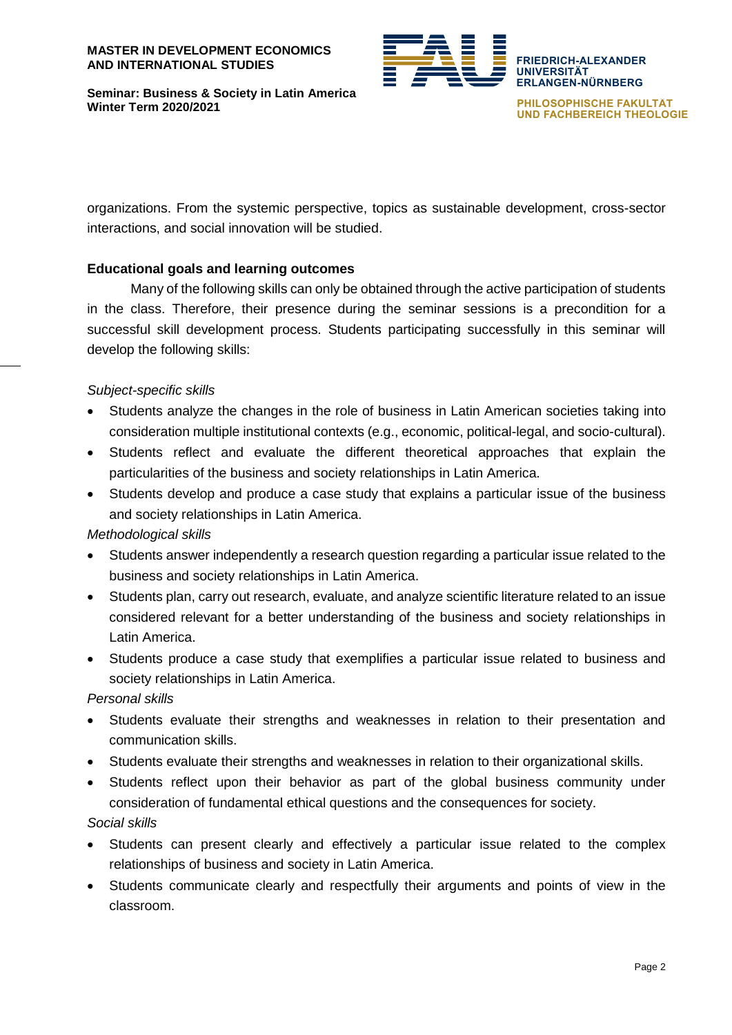

**PHILOSOPHISCHE FAKULTÄT UND FACHBEREICH THEOLOGIE**

organizations. From the systemic perspective, topics as sustainable development, cross-sector interactions, and social innovation will be studied.

# **Educational goals and learning outcomes**

Many of the following skills can only be obtained through the active participation of students in the class. Therefore, their presence during the seminar sessions is a precondition for a successful skill development process. Students participating successfully in this seminar will develop the following skills:

## *Subject-specific skills*

- Students analyze the changes in the role of business in Latin American societies taking into consideration multiple institutional contexts (e.g., economic, political-legal, and socio-cultural).
- Students reflect and evaluate the different theoretical approaches that explain the particularities of the business and society relationships in Latin America.
- Students develop and produce a case study that explains a particular issue of the business and society relationships in Latin America.

## *Methodological skills*

- Students answer independently a research question regarding a particular issue related to the business and society relationships in Latin America.
- Students plan, carry out research, evaluate, and analyze scientific literature related to an issue considered relevant for a better understanding of the business and society relationships in Latin America.
- Students produce a case study that exemplifies a particular issue related to business and society relationships in Latin America.

## *Personal skills*

- Students evaluate their strengths and weaknesses in relation to their presentation and communication skills.
- Students evaluate their strengths and weaknesses in relation to their organizational skills.
- Students reflect upon their behavior as part of the global business community under consideration of fundamental ethical questions and the consequences for society.

## *Social skills*

- Students can present clearly and effectively a particular issue related to the complex relationships of business and society in Latin America.
- Students communicate clearly and respectfully their arguments and points of view in the classroom.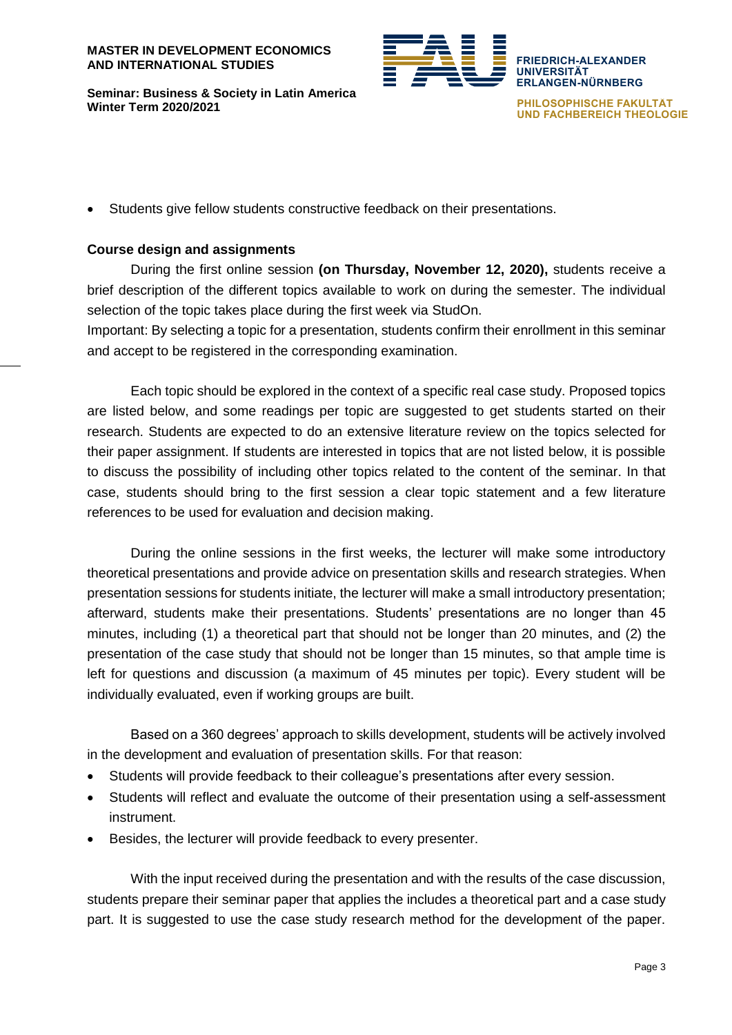

**PHILOSOPHISCHE FAKULTÄT UND FACHBEREICH THEOLOGIE**

Students give fellow students constructive feedback on their presentations.

# **Course design and assignments**

During the first online session **(on Thursday, November 12, 2020),** students receive a brief description of the different topics available to work on during the semester. The individual selection of the topic takes place during the first week via StudOn.

Important: By selecting a topic for a presentation, students confirm their enrollment in this seminar and accept to be registered in the corresponding examination.

Each topic should be explored in the context of a specific real case study. Proposed topics are listed below, and some readings per topic are suggested to get students started on their research. Students are expected to do an extensive literature review on the topics selected for their paper assignment. If students are interested in topics that are not listed below, it is possible to discuss the possibility of including other topics related to the content of the seminar. In that case, students should bring to the first session a clear topic statement and a few literature references to be used for evaluation and decision making.

During the online sessions in the first weeks, the lecturer will make some introductory theoretical presentations and provide advice on presentation skills and research strategies. When presentation sessions for students initiate, the lecturer will make a small introductory presentation; afterward, students make their presentations. Students' presentations are no longer than 45 minutes, including (1) a theoretical part that should not be longer than 20 minutes, and (2) the presentation of the case study that should not be longer than 15 minutes, so that ample time is left for questions and discussion (a maximum of 45 minutes per topic). Every student will be individually evaluated, even if working groups are built.

Based on a 360 degrees' approach to skills development, students will be actively involved in the development and evaluation of presentation skills. For that reason:

- Students will provide feedback to their colleague's presentations after every session.
- Students will reflect and evaluate the outcome of their presentation using a self-assessment instrument.
- Besides, the lecturer will provide feedback to every presenter.

With the input received during the presentation and with the results of the case discussion, students prepare their seminar paper that applies the includes a theoretical part and a case study part. It is suggested to use the case study research method for the development of the paper.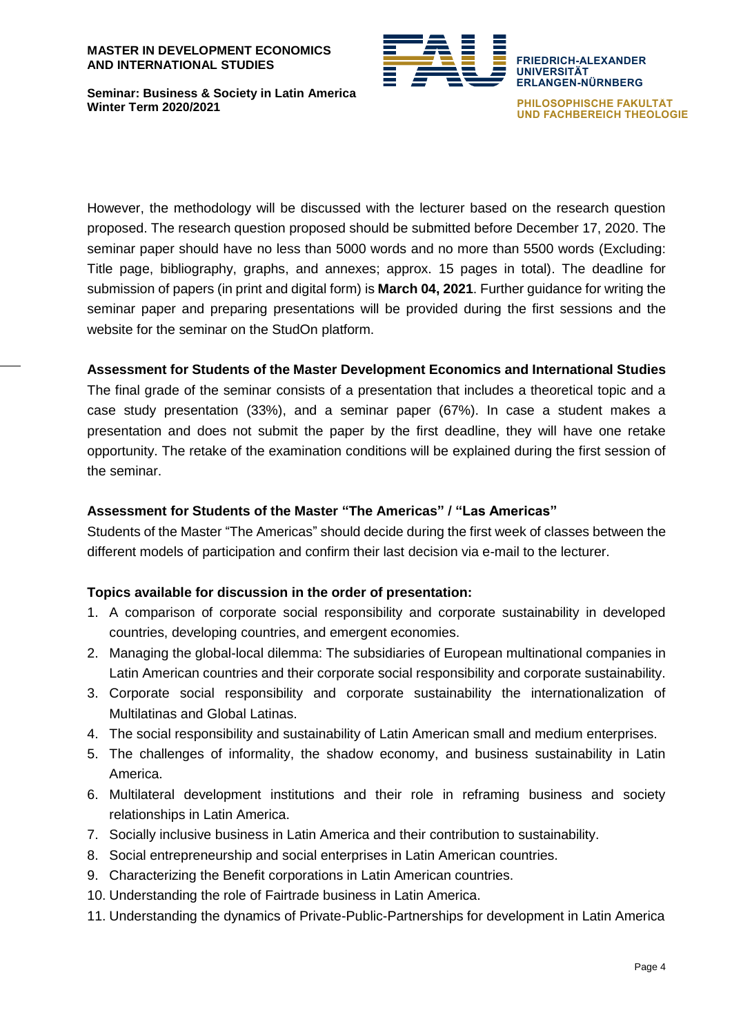#### **MASTER IN DEVELOPMENT ECONOMICS AND INTERNATIONAL STUDIES**



**Seminar: Business & Society in Latin America Winter Term 2020/2021**

**PHILOSOPHISCHE FAKULTÄT UND FACHBEREICH THEOLOGIE**

However, the methodology will be discussed with the lecturer based on the research question proposed. The research question proposed should be submitted before December 17, 2020. The seminar paper should have no less than 5000 words and no more than 5500 words (Excluding: Title page, bibliography, graphs, and annexes; approx. 15 pages in total). The deadline for submission of papers (in print and digital form) is **March 04, 2021**. Further guidance for writing the seminar paper and preparing presentations will be provided during the first sessions and the website for the seminar on the StudOn platform.

# **Assessment for Students of the Master Development Economics and International Studies**

The final grade of the seminar consists of a presentation that includes a theoretical topic and a case study presentation (33%), and a seminar paper (67%). In case a student makes a presentation and does not submit the paper by the first deadline, they will have one retake opportunity. The retake of the examination conditions will be explained during the first session of the seminar.

# **Assessment for Students of the Master "The Americas" / "Las Americas"**

Students of the Master "The Americas" should decide during the first week of classes between the different models of participation and confirm their last decision via e-mail to the lecturer.

## **Topics available for discussion in the order of presentation:**

- 1. A comparison of corporate social responsibility and corporate sustainability in developed countries, developing countries, and emergent economies.
- 2. Managing the global-local dilemma: The subsidiaries of European multinational companies in Latin American countries and their corporate social responsibility and corporate sustainability.
- 3. Corporate social responsibility and corporate sustainability the internationalization of Multilatinas and Global Latinas.
- 4. The social responsibility and sustainability of Latin American small and medium enterprises.
- 5. The challenges of informality, the shadow economy, and business sustainability in Latin America.
- 6. Multilateral development institutions and their role in reframing business and society relationships in Latin America.
- 7. Socially inclusive business in Latin America and their contribution to sustainability.
- 8. Social entrepreneurship and social enterprises in Latin American countries.
- 9. Characterizing the Benefit corporations in Latin American countries.
- 10. Understanding the role of Fairtrade business in Latin America.
- 11. Understanding the dynamics of Private-Public-Partnerships for development in Latin America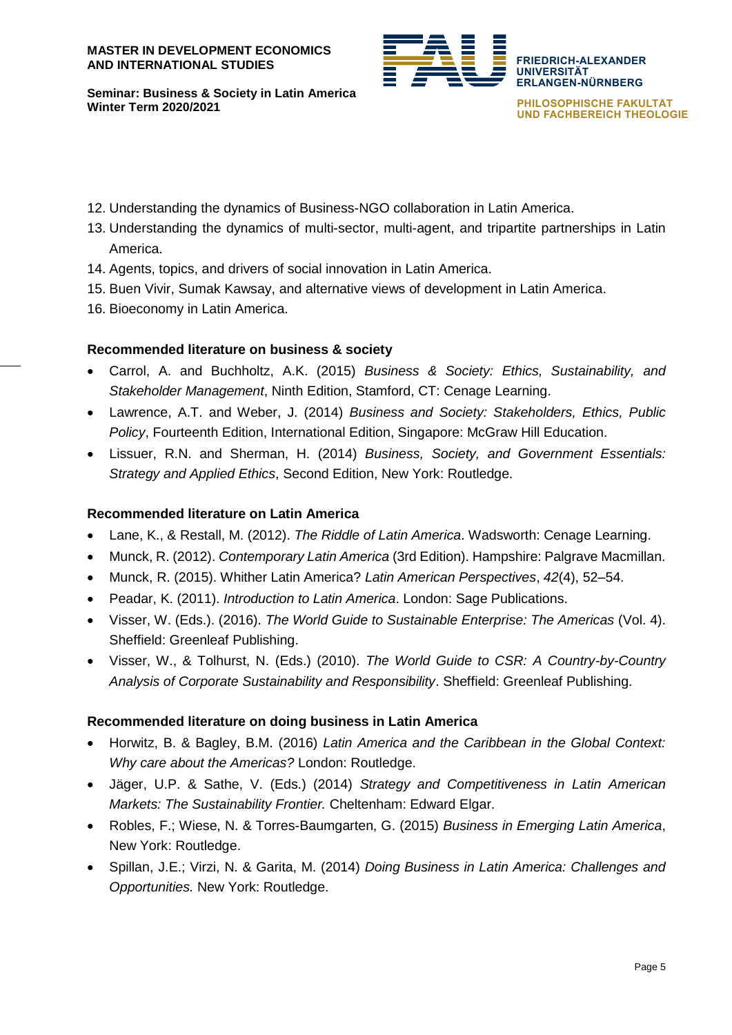

**PHILOSOPHISCHE FAKULTÄT UND FACHBEREICH THEOLOGIE**

- 12. Understanding the dynamics of Business-NGO collaboration in Latin America.
- 13. Understanding the dynamics of multi-sector, multi-agent, and tripartite partnerships in Latin America.
- 14. Agents, topics, and drivers of social innovation in Latin America.
- 15. Buen Vivir, Sumak Kawsay, and alternative views of development in Latin America.
- 16. Bioeconomy in Latin America.

## **Recommended literature on business & society**

- Carrol, A. and Buchholtz, A.K. (2015) *Business & Society: Ethics, Sustainability, and Stakeholder Management*, Ninth Edition, Stamford, CT: Cenage Learning.
- Lawrence, A.T. and Weber, J. (2014) *Business and Society: Stakeholders, Ethics, Public Policy*, Fourteenth Edition, International Edition, Singapore: McGraw Hill Education.
- Lissuer, R.N. and Sherman, H. (2014) *Business, Society, and Government Essentials: Strategy and Applied Ethics*, Second Edition, New York: Routledge.

# **Recommended literature on Latin America**

- Lane, K., & Restall, M. (2012). *The Riddle of Latin America*. Wadsworth: Cenage Learning.
- Munck, R. (2012). *Contemporary Latin America* (3rd Edition). Hampshire: Palgrave Macmillan.
- Munck, R. (2015). Whither Latin America? *Latin American Perspectives*, *42*(4), 52–54.
- Peadar, K. (2011). *Introduction to Latin America*. London: Sage Publications.
- Visser, W. (Eds.). (2016). *The World Guide to Sustainable Enterprise: The Americas* (Vol. 4). Sheffield: Greenleaf Publishing.
- Visser, W., & Tolhurst, N. (Eds.) (2010). *The World Guide to CSR: A Country-by-Country Analysis of Corporate Sustainability and Responsibility*. Sheffield: Greenleaf Publishing.

## **Recommended literature on doing business in Latin America**

- Horwitz, B. & Bagley, B.M. (2016) *Latin America and the Caribbean in the Global Context: Why care about the Americas?* London: Routledge.
- Jäger, U.P. & Sathe, V. (Eds.) (2014) *Strategy and Competitiveness in Latin American Markets: The Sustainability Frontier.* Cheltenham: Edward Elgar.
- Robles, F.; Wiese, N. & Torres-Baumgarten, G. (2015) *Business in Emerging Latin America*, New York: Routledge.
- Spillan, J.E.; Virzi, N. & Garita, M. (2014) *Doing Business in Latin America: Challenges and Opportunities.* New York: Routledge.